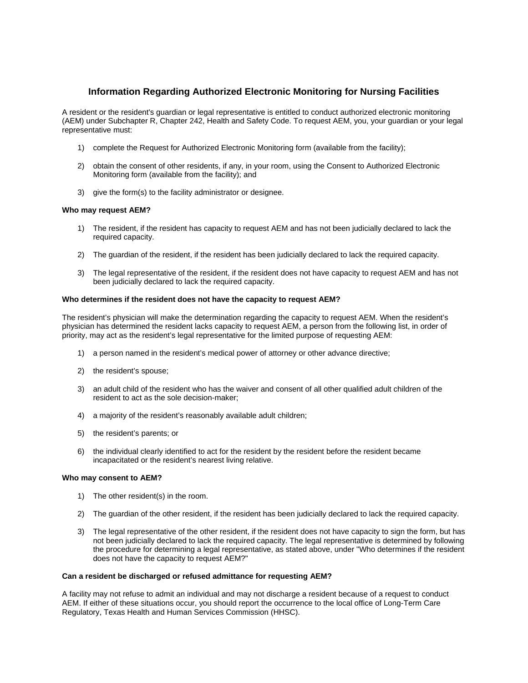### **Information Regarding Authorized Electronic Monitoring for Nursing Facilities**

A resident or the resident's guardian or legal representative is entitled to conduct authorized electronic monitoring (AEM) under Subchapter R, Chapter 242, Health and Safety Code. To request AEM, you, your guardian or your legal representative must:

- 1) complete the Request for Authorized Electronic Monitoring form (available from the facility);
- 2) obtain the consent of other residents, if any, in your room, using the Consent to Authorized Electronic Monitoring form (available from the facility); and
- 3) give the form(s) to the facility administrator or designee.

#### **Who may request AEM?**

- 1) The resident, if the resident has capacity to request AEM and has not been judicially declared to lack the required capacity.
- 2) The guardian of the resident, if the resident has been judicially declared to lack the required capacity.
- 3) The legal representative of the resident, if the resident does not have capacity to request AEM and has not been judicially declared to lack the required capacity.

#### **Who determines if the resident does not have the capacity to request AEM?**

The resident's physician will make the determination regarding the capacity to request AEM. When the resident's physician has determined the resident lacks capacity to request AEM, a person from the following list, in order of priority, may act as the resident's legal representative for the limited purpose of requesting AEM:

- 1) a person named in the resident's medical power of attorney or other advance directive;
- 2) the resident's spouse;
- 3) an adult child of the resident who has the waiver and consent of all other qualified adult children of the resident to act as the sole decision-maker;
- 4) a majority of the resident's reasonably available adult children;
- 5) the resident's parents; or
- 6) the individual clearly identified to act for the resident by the resident before the resident became incapacitated or the resident's nearest living relative.

#### **Who may consent to AEM?**

- 1) The other resident(s) in the room.
- 2) The guardian of the other resident, if the resident has been judicially declared to lack the required capacity.
- 3) The legal representative of the other resident, if the resident does not have capacity to sign the form, but has not been judicially declared to lack the required capacity. The legal representative is determined by following the procedure for determining a legal representative, as stated above, under "Who determines if the resident does not have the capacity to request AEM?"

#### **Can a resident be discharged or refused admittance for requesting AEM?**

A facility may not refuse to admit an individual and may not discharge a resident because of a request to conduct AEM. If either of these situations occur, you should report the occurrence to the local office of Long-Term Care Regulatory, Texas Health and Human Services Commission (HHSC).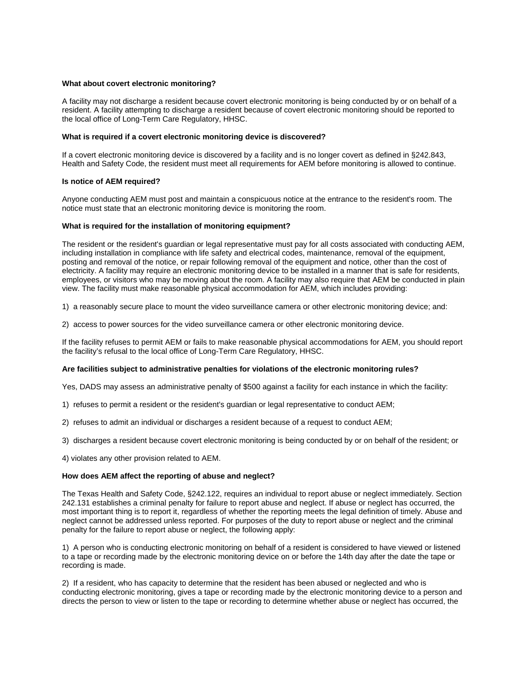#### **What about covert electronic monitoring?**

A facility may not discharge a resident because covert electronic monitoring is being conducted by or on behalf of a resident. A facility attempting to discharge a resident because of covert electronic monitoring should be reported to the local office of Long-Term Care Regulatory, HHSC.

#### **What is required if a covert electronic monitoring device is discovered?**

If a covert electronic monitoring device is discovered by a facility and is no longer covert as defined in §242.843, Health and Safety Code, the resident must meet all requirements for AEM before monitoring is allowed to continue.

#### **Is notice of AEM required?**

Anyone conducting AEM must post and maintain a conspicuous notice at the entrance to the resident's room. The notice must state that an electronic monitoring device is monitoring the room.

#### **What is required for the installation of monitoring equipment?**

The resident or the resident's guardian or legal representative must pay for all costs associated with conducting AEM, including installation in compliance with life safety and electrical codes, maintenance, removal of the equipment, posting and removal of the notice, or repair following removal of the equipment and notice, other than the cost of electricity. A facility may require an electronic monitoring device to be installed in a manner that is safe for residents, employees, or visitors who may be moving about the room. A facility may also require that AEM be conducted in plain view. The facility must make reasonable physical accommodation for AEM, which includes providing:

1) a reasonably secure place to mount the video surveillance camera or other electronic monitoring device; and:

2) access to power sources for the video surveillance camera or other electronic monitoring device.

If the facility refuses to permit AEM or fails to make reasonable physical accommodations for AEM, you should report the facility's refusal to the local office of Long-Term Care Regulatory, HHSC.

#### **Are facilities subject to administrative penalties for violations of the electronic monitoring rules?**

Yes, DADS may assess an administrative penalty of \$500 against a facility for each instance in which the facility:

- 1) refuses to permit a resident or the resident's guardian or legal representative to conduct AEM;
- 2) refuses to admit an individual or discharges a resident because of a request to conduct AEM;
- 3) discharges a resident because covert electronic monitoring is being conducted by or on behalf of the resident; or
- 4) violates any other provision related to AEM.

#### **How does AEM affect the reporting of abuse and neglect?**

The Texas Health and Safety Code, §242.122, requires an individual to report abuse or neglect immediately. Section 242.131 establishes a criminal penalty for failure to report abuse and neglect. If abuse or neglect has occurred, the most important thing is to report it, regardless of whether the reporting meets the legal definition of timely. Abuse and neglect cannot be addressed unless reported. For purposes of the duty to report abuse or neglect and the criminal penalty for the failure to report abuse or neglect, the following apply:

1) A person who is conducting electronic monitoring on behalf of a resident is considered to have viewed or listened to a tape or recording made by the electronic monitoring device on or before the 14th day after the date the tape or recording is made.

2) If a resident, who has capacity to determine that the resident has been abused or neglected and who is conducting electronic monitoring, gives a tape or recording made by the electronic monitoring device to a person and directs the person to view or listen to the tape or recording to determine whether abuse or neglect has occurred, the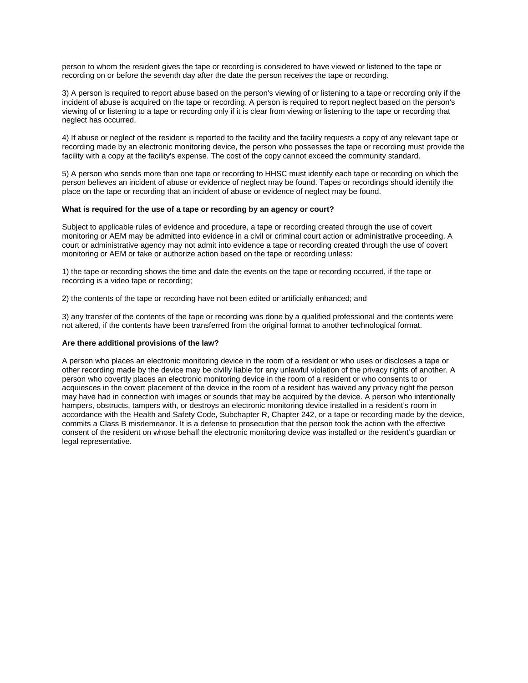person to whom the resident gives the tape or recording is considered to have viewed or listened to the tape or recording on or before the seventh day after the date the person receives the tape or recording.

3) A person is required to report abuse based on the person's viewing of or listening to a tape or recording only if the incident of abuse is acquired on the tape or recording. A person is required to report neglect based on the person's viewing of or listening to a tape or recording only if it is clear from viewing or listening to the tape or recording that neglect has occurred.

4) If abuse or neglect of the resident is reported to the facility and the facility requests a copy of any relevant tape or recording made by an electronic monitoring device, the person who possesses the tape or recording must provide the facility with a copy at the facility's expense. The cost of the copy cannot exceed the community standard.

5) A person who sends more than one tape or recording to HHSC must identify each tape or recording on which the person believes an incident of abuse or evidence of neglect may be found. Tapes or recordings should identify the place on the tape or recording that an incident of abuse or evidence of neglect may be found.

#### **What is required for the use of a tape or recording by an agency or court?**

Subject to applicable rules of evidence and procedure, a tape or recording created through the use of covert monitoring or AEM may be admitted into evidence in a civil or criminal court action or administrative proceeding. A court or administrative agency may not admit into evidence a tape or recording created through the use of covert monitoring or AEM or take or authorize action based on the tape or recording unless:

1) the tape or recording shows the time and date the events on the tape or recording occurred, if the tape or recording is a video tape or recording;

2) the contents of the tape or recording have not been edited or artificially enhanced; and

3) any transfer of the contents of the tape or recording was done by a qualified professional and the contents were not altered, if the contents have been transferred from the original format to another technological format.

#### **Are there additional provisions of the law?**

A person who places an electronic monitoring device in the room of a resident or who uses or discloses a tape or other recording made by the device may be civilly liable for any unlawful violation of the privacy rights of another. A person who covertly places an electronic monitoring device in the room of a resident or who consents to or acquiesces in the covert placement of the device in the room of a resident has waived any privacy right the person may have had in connection with images or sounds that may be acquired by the device. A person who intentionally hampers, obstructs, tampers with, or destroys an electronic monitoring device installed in a resident's room in accordance with the Health and Safety Code, Subchapter R, Chapter 242, or a tape or recording made by the device, commits a Class B misdemeanor. It is a defense to prosecution that the person took the action with the effective consent of the resident on whose behalf the electronic monitoring device was installed or the resident's guardian or legal representative.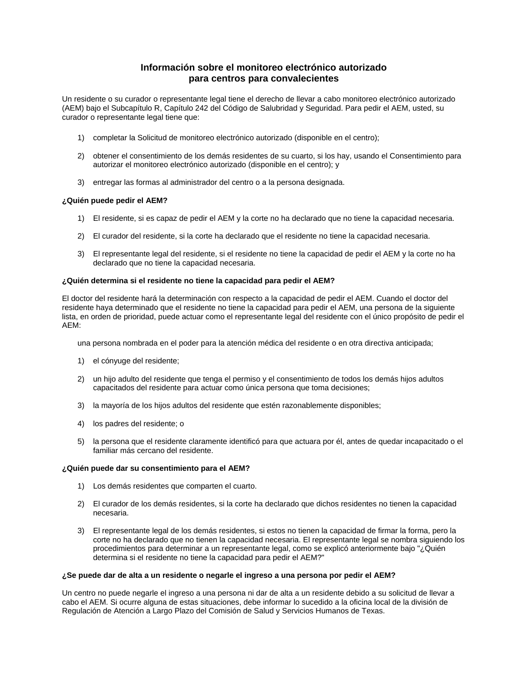### **Información sobre el monitoreo electrónico autorizado para centros para convalecientes**

Un residente o su curador o representante legal tiene el derecho de llevar a cabo monitoreo electrónico autorizado (AEM) bajo el Subcapítulo R, Capítulo 242 del Código de Salubridad y Seguridad. Para pedir el AEM, usted, su curador o representante legal tiene que:

- 1) completar la Solicitud de monitoreo electrónico autorizado (disponible en el centro);
- 2) obtener el consentimiento de los demás residentes de su cuarto, si los hay, usando el Consentimiento para autorizar el monitoreo electrónico autorizado (disponible en el centro); y
- 3) entregar las formas al administrador del centro o a la persona designada.

#### **¿Quién puede pedir el AEM?**

- 1) El residente, si es capaz de pedir el AEM y la corte no ha declarado que no tiene la capacidad necesaria.
- 2) El curador del residente, si la corte ha declarado que el residente no tiene la capacidad necesaria.
- 3) El representante legal del residente, si el residente no tiene la capacidad de pedir el AEM y la corte no ha declarado que no tiene la capacidad necesaria.

#### **¿Quién determina si el residente no tiene la capacidad para pedir el AEM?**

El doctor del residente hará la determinación con respecto a la capacidad de pedir el AEM. Cuando el doctor del residente haya determinado que el residente no tiene la capacidad para pedir el AEM, una persona de la siguiente lista, en orden de prioridad, puede actuar como el representante legal del residente con el único propósito de pedir el AEM:

una persona nombrada en el poder para la atención médica del residente o en otra directiva anticipada;

- 1) el cónyuge del residente;
- 2) un hijo adulto del residente que tenga el permiso y el consentimiento de todos los demás hijos adultos capacitados del residente para actuar como única persona que toma decisiones;
- 3) la mayoría de los hijos adultos del residente que estén razonablemente disponibles;
- 4) los padres del residente; o
- 5) la persona que el residente claramente identificó para que actuara por él, antes de quedar incapacitado o el familiar más cercano del residente.

#### **¿Quién puede dar su consentimiento para el AEM?**

- 1) Los demás residentes que comparten el cuarto.
- 2) El curador de los demás residentes, si la corte ha declarado que dichos residentes no tienen la capacidad necesaria.
- 3) El representante legal de los demás residentes, si estos no tienen la capacidad de firmar la forma, pero la corte no ha declarado que no tienen la capacidad necesaria. El representante legal se nombra siguiendo los procedimientos para determinar a un representante legal, como se explicó anteriormente bajo "¿Quién determina si el residente no tiene la capacidad para pedir el AEM?"

#### **¿Se puede dar de alta a un residente o negarle el ingreso a una persona por pedir el AEM?**

Un centro no puede negarle el ingreso a una persona ni dar de alta a un residente debido a su solicitud de llevar a cabo el AEM. Si ocurre alguna de estas situaciones, debe informar lo sucedido a la oficina local de la división de Regulación de Atención a Largo Plazo del Comisión de Salud y Servicios Humanos de Texas.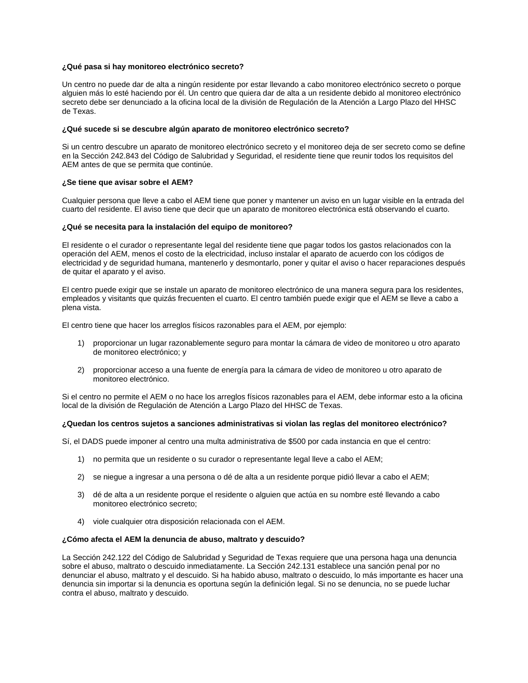#### **¿Qué pasa si hay monitoreo electrónico secreto?**

Un centro no puede dar de alta a ningún residente por estar llevando a cabo monitoreo electrónico secreto o porque alguien más lo esté haciendo por él. Un centro que quiera dar de alta a un residente debido al monitoreo electrónico secreto debe ser denunciado a la oficina local de la división de Regulación de la Atención a Largo Plazo del HHSC de Texas.

#### **¿Qué sucede si se descubre algún aparato de monitoreo electrónico secreto?**

Si un centro descubre un aparato de monitoreo electrónico secreto y el monitoreo deja de ser secreto como se define en la Sección 242.843 del Código de Salubridad y Seguridad, el residente tiene que reunir todos los requisitos del AEM antes de que se permita que continúe.

#### **¿Se tiene que avisar sobre el AEM?**

Cualquier persona que lleve a cabo el AEM tiene que poner y mantener un aviso en un lugar visible en la entrada del cuarto del residente. El aviso tiene que decir que un aparato de monitoreo electrónica está observando el cuarto.

#### **¿Qué se necesita para la instalación del equipo de monitoreo?**

El residente o el curador o representante legal del residente tiene que pagar todos los gastos relacionados con la operación del AEM, menos el costo de la electricidad, incluso instalar el aparato de acuerdo con los códigos de electricidad y de seguridad humana, mantenerlo y desmontarlo, poner y quitar el aviso o hacer reparaciones después de quitar el aparato y el aviso.

El centro puede exigir que se instale un aparato de monitoreo electrónico de una manera segura para los residentes, empleados y visitants que quizás frecuenten el cuarto. El centro también puede exigir que el AEM se lleve a cabo a plena vista.

El centro tiene que hacer los arreglos físicos razonables para el AEM, por ejemplo:

- 1) proporcionar un lugar razonablemente seguro para montar la cámara de video de monitoreo u otro aparato de monitoreo electrónico; y
- 2) proporcionar acceso a una fuente de energía para la cámara de video de monitoreo u otro aparato de monitoreo electrónico.

Si el centro no permite el AEM o no hace los arreglos físicos razonables para el AEM, debe informar esto a la oficina local de la división de Regulación de Atención a Largo Plazo del HHSC de Texas.

#### **¿Quedan los centros sujetos a sanciones administrativas si violan las reglas del monitoreo electrónico?**

Sí, el DADS puede imponer al centro una multa administrativa de \$500 por cada instancia en que el centro:

- 1) no permita que un residente o su curador o representante legal lleve a cabo el AEM;
- 2) se niegue a ingresar a una persona o dé de alta a un residente porque pidió llevar a cabo el AEM;
- 3) dé de alta a un residente porque el residente o alguien que actúa en su nombre esté llevando a cabo monitoreo electrónico secreto;
- 4) viole cualquier otra disposición relacionada con el AEM.

#### **¿Cómo afecta el AEM la denuncia de abuso, maltrato y descuido?**

La Sección 242.122 del Código de Salubridad y Seguridad de Texas requiere que una persona haga una denuncia sobre el abuso, maltrato o descuido inmediatamente. La Sección 242.131 establece una sanción penal por no denunciar el abuso, maltrato y el descuido. Si ha habido abuso, maltrato o descuido, lo más importante es hacer una denuncia sin importar si la denuncia es oportuna según la definición legal. Si no se denuncia, no se puede luchar contra el abuso, maltrato y descuido.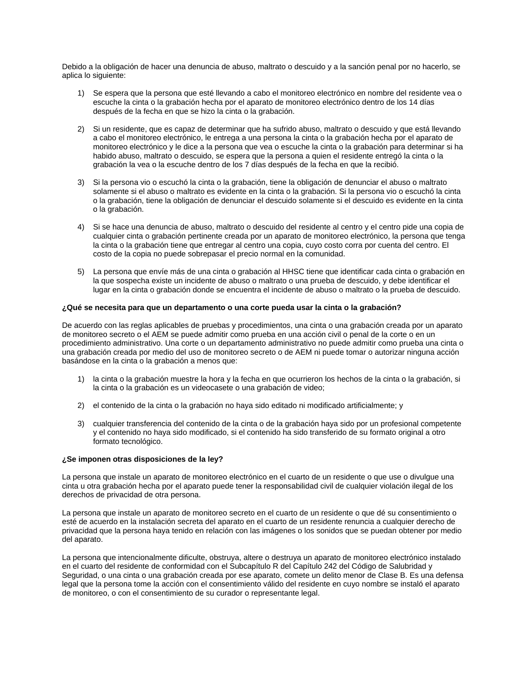Debido a la obligación de hacer una denuncia de abuso, maltrato o descuido y a la sanción penal por no hacerlo, se aplica lo siguiente:

- 1) Se espera que la persona que esté llevando a cabo el monitoreo electrónico en nombre del residente vea o escuche la cinta o la grabación hecha por el aparato de monitoreo electrónico dentro de los 14 días después de la fecha en que se hizo la cinta o la grabación.
- 2) Si un residente, que es capaz de determinar que ha sufrido abuso, maltrato o descuido y que está llevando a cabo el monitoreo electrónico, le entrega a una persona la cinta o la grabación hecha por el aparato de monitoreo electrónico y le dice a la persona que vea o escuche la cinta o la grabación para determinar si ha habido abuso, maltrato o descuido, se espera que la persona a quien el residente entregó la cinta o la grabación la vea o la escuche dentro de los 7 días después de la fecha en que la recibió.
- 3) Si la persona vio o escuchó la cinta o la grabación, tiene la obligación de denunciar el abuso o maltrato solamente si el abuso o maltrato es evidente en la cinta o la grabación. Si la persona vio o escuchó la cinta o la grabación, tiene la obligación de denunciar el descuido solamente si el descuido es evidente en la cinta o la grabación.
- 4) Si se hace una denuncia de abuso, maltrato o descuido del residente al centro y el centro pide una copia de cualquier cinta o grabación pertinente creada por un aparato de monitoreo electrónico, la persona que tenga la cinta o la grabación tiene que entregar al centro una copia, cuyo costo corra por cuenta del centro. El costo de la copia no puede sobrepasar el precio normal en la comunidad.
- 5) La persona que envíe más de una cinta o grabación al HHSC tiene que identificar cada cinta o grabación en la que sospecha existe un incidente de abuso o maltrato o una prueba de descuido, y debe identificar el lugar en la cinta o grabación donde se encuentra el incidente de abuso o maltrato o la prueba de descuido.

#### **¿Qué se necesita para que un departamento o una corte pueda usar la cinta o la grabación?**

De acuerdo con las reglas aplicables de pruebas y procedimientos, una cinta o una grabación creada por un aparato de monitoreo secreto o el AEM se puede admitir como prueba en una acción civil o penal de la corte o en un procedimiento administrativo. Una corte o un departamento administrativo no puede admitir como prueba una cinta o una grabación creada por medio del uso de monitoreo secreto o de AEM ni puede tomar o autorizar ninguna acción basándose en la cinta o la grabación a menos que:

- 1) la cinta o la grabación muestre la hora y la fecha en que ocurrieron los hechos de la cinta o la grabación, si la cinta o la grabación es un videocasete o una grabación de video;
- 2) el contenido de la cinta o la grabación no haya sido editado ni modificado artificialmente; y
- 3) cualquier transferencia del contenido de la cinta o de la grabación haya sido por un profesional competente y el contenido no haya sido modificado, si el contenido ha sido transferido de su formato original a otro formato tecnológico.

#### **¿Se imponen otras disposiciones de la ley?**

La persona que instale un aparato de monitoreo electrónico en el cuarto de un residente o que use o divulgue una cinta u otra grabación hecha por el aparato puede tener la responsabilidad civil de cualquier violación ilegal de los derechos de privacidad de otra persona.

La persona que instale un aparato de monitoreo secreto en el cuarto de un residente o que dé su consentimiento o esté de acuerdo en la instalación secreta del aparato en el cuarto de un residente renuncia a cualquier derecho de privacidad que la persona haya tenido en relación con las imágenes o los sonidos que se puedan obtener por medio del aparato.

La persona que intencionalmente dificulte, obstruya, altere o destruya un aparato de monitoreo electrónico instalado en el cuarto del residente de conformidad con el Subcapítulo R del Capítulo 242 del Código de Salubridad y Seguridad, o una cinta o una grabación creada por ese aparato, comete un delito menor de Clase B. Es una defensa legal que la persona tome la acción con el consentimiento válido del residente en cuyo nombre se instaló el aparato de monitoreo, o con el consentimiento de su curador o representante legal.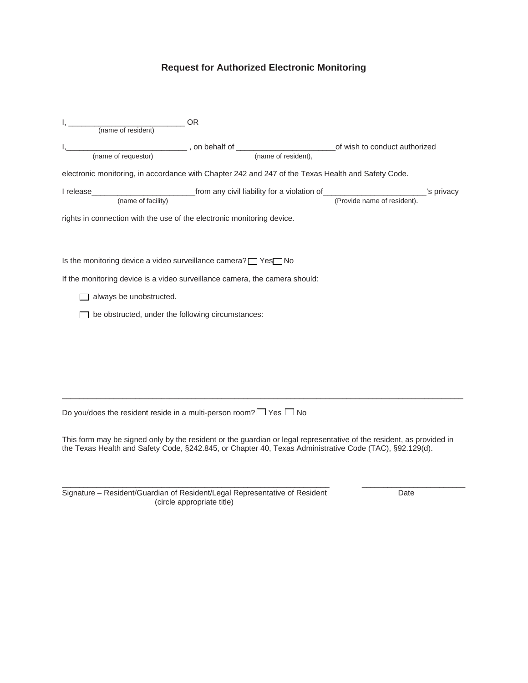# **Request for Authorized Electronic Monitoring**

| OR (name of resident)                                                                                                                                                                                                           |  |  |  |  |
|---------------------------------------------------------------------------------------------------------------------------------------------------------------------------------------------------------------------------------|--|--|--|--|
|                                                                                                                                                                                                                                 |  |  |  |  |
| electronic monitoring, in accordance with Chapter 242 and 247 of the Texas Health and Safety Code.                                                                                                                              |  |  |  |  |
|                                                                                                                                                                                                                                 |  |  |  |  |
| rights in connection with the use of the electronic monitoring device.                                                                                                                                                          |  |  |  |  |
| Is the monitoring device a video surveillance camera? T Yes No                                                                                                                                                                  |  |  |  |  |
| If the monitoring device is a video surveillance camera, the camera should:                                                                                                                                                     |  |  |  |  |
| always be unobstructed.                                                                                                                                                                                                         |  |  |  |  |
| be obstructed, under the following circumstances:                                                                                                                                                                               |  |  |  |  |
|                                                                                                                                                                                                                                 |  |  |  |  |
|                                                                                                                                                                                                                                 |  |  |  |  |
|                                                                                                                                                                                                                                 |  |  |  |  |
|                                                                                                                                                                                                                                 |  |  |  |  |
| Do you/does the resident reside in a multi-person room? $\Box$ Yes $\Box$ No                                                                                                                                                    |  |  |  |  |
| This form may be signed only by the resident or the guardian or legal representative of the resident, as provided in<br>the Texas Health and Safety Code, §242.845, or Chapter 40, Texas Administrative Code (TAC), §92.129(d). |  |  |  |  |

\_\_\_\_\_\_\_\_\_\_\_\_\_\_\_\_\_\_\_\_\_\_\_\_\_\_\_\_\_\_\_\_\_\_\_\_\_\_\_\_\_\_\_\_\_\_\_\_\_\_\_\_\_\_\_\_\_\_\_\_\_\_ \_\_\_\_\_\_\_\_\_\_\_\_\_\_\_\_\_\_\_\_\_\_\_\_ Signature – Resident/Guardian of Resident/Legal Representative of Resident Date (circle appropriate title)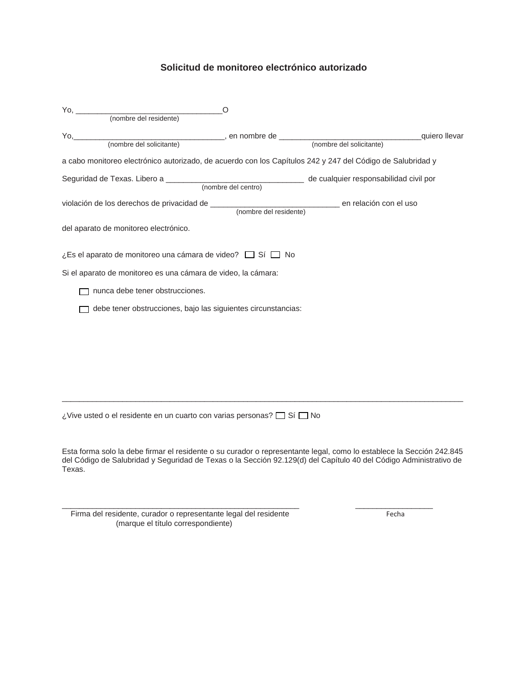## **Solicitud de monitoreo electrónico autorizado**

| Yo, (nombre del residente)<br>O                                                                            |  |
|------------------------------------------------------------------------------------------------------------|--|
|                                                                                                            |  |
|                                                                                                            |  |
|                                                                                                            |  |
| a cabo monitoreo electrónico autorizado, de acuerdo con los Capítulos 242 y 247 del Código de Salubridad y |  |
|                                                                                                            |  |
|                                                                                                            |  |
|                                                                                                            |  |
| del aparato de monitoreo electrónico.                                                                      |  |
| ¿Es el aparato de monitoreo una cámara de video? $\Box$ Sí $\Box$ No                                       |  |
| Si el aparato de monitoreo es una cámara de video, la cámara:                                              |  |
| nunca debe tener obstrucciones.                                                                            |  |
| debe tener obstrucciones, bajo las siguientes circunstancias:                                              |  |
|                                                                                                            |  |
|                                                                                                            |  |
|                                                                                                            |  |
|                                                                                                            |  |
|                                                                                                            |  |
| ¿Vive usted o el residente en un cuarto con varias personas? $\Box$ Sí $\Box$ No                           |  |
|                                                                                                            |  |

Esta forma solo la debe firmar el residente o su curador o representante legal, como lo establece la Sección 242.845 del Código de Salubridad y Seguridad de Texas o la Sección 92.129(d) del Capítulo 40 del Código Administrativo de Texas.

\_\_\_\_\_\_\_\_\_\_\_\_\_\_\_\_\_\_\_\_\_\_\_\_\_\_\_\_\_\_\_\_\_\_\_\_\_\_\_\_\_\_\_\_\_\_\_\_\_\_\_\_\_\_\_ \_\_\_\_\_\_\_\_\_\_\_\_\_\_\_\_\_\_

Firma del residente, curador o representante legal del residente Fechandes Fechandes Fechandes Fecha (marque el título correspondiente)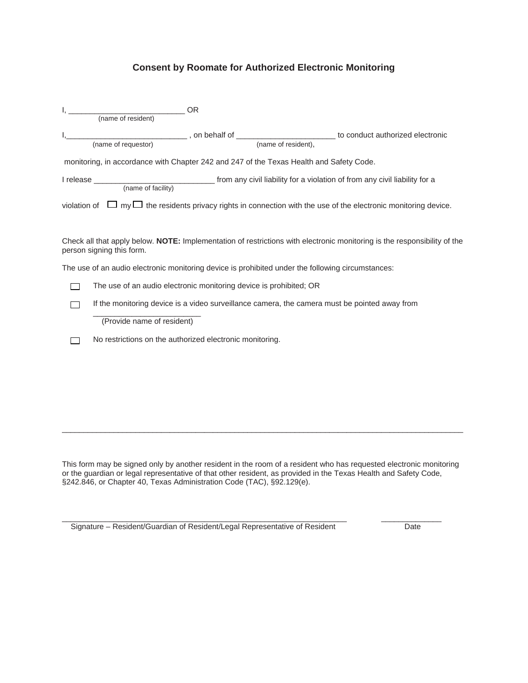## **Consent by Roomate for Authorized Electronic Monitoring**

| (name of resident)                                                                                | <b>OR</b> |                                                                                                                            |
|---------------------------------------------------------------------------------------------------|-----------|----------------------------------------------------------------------------------------------------------------------------|
|                                                                                                   |           |                                                                                                                            |
|                                                                                                   |           |                                                                                                                            |
|                                                                                                   |           |                                                                                                                            |
| monitoring, in accordance with Chapter 242 and 247 of the Texas Health and Safety Code.           |           |                                                                                                                            |
|                                                                                                   |           |                                                                                                                            |
|                                                                                                   |           | violation of $\Box$ my $\Box$ the residents privacy rights in connection with the use of the electronic monitoring device. |
| person signing this form.                                                                         |           | Check all that apply below. NOTE: Implementation of restrictions with electronic monitoring is the responsibility of the   |
| The use of an audio electronic monitoring device is prohibited under the following circumstances: |           |                                                                                                                            |
| The use of an audio electronic monitoring device is prohibited; OR                                |           |                                                                                                                            |
| If the monitoring device is a video surveillance camera, the camera must be pointed away from     |           |                                                                                                                            |
| (Provide name of resident)                                                                        |           |                                                                                                                            |
| No restrictions on the authorized electronic monitoring.                                          |           |                                                                                                                            |
|                                                                                                   |           |                                                                                                                            |
|                                                                                                   |           |                                                                                                                            |

This form may be signed only by another resident in the room of a resident who has requested electronic monitoring or the guardian or legal representative of that other resident, as provided in the Texas Health and Safety Code, §242.846, or Chapter 40, Texas Administration Code (TAC), §92.129(e).

\_\_\_\_\_\_\_\_\_\_\_\_\_\_\_\_\_\_\_\_\_\_\_\_\_\_\_\_\_\_\_\_\_\_\_\_\_\_\_\_\_\_\_\_\_\_\_\_\_\_\_\_\_\_\_\_\_\_\_\_\_\_\_\_\_\_ \_\_\_\_\_\_\_\_\_\_\_\_\_\_

 $\_$  ,  $\_$  ,  $\_$  ,  $\_$  ,  $\_$  ,  $\_$  ,  $\_$  ,  $\_$  ,  $\_$  ,  $\_$  ,  $\_$  ,  $\_$  ,  $\_$  ,  $\_$  ,  $\_$  ,  $\_$  ,  $\_$  ,  $\_$  ,  $\_$  ,  $\_$  ,  $\_$  ,  $\_$  ,  $\_$  ,  $\_$  ,  $\_$  ,  $\_$  ,  $\_$  ,  $\_$  ,  $\_$  ,  $\_$  ,  $\_$  ,  $\_$  ,  $\_$  ,  $\_$  ,  $\_$  ,  $\_$  ,  $\_$  ,

Signature – Resident/Guardian of Resident/Legal Representative of Resident Date